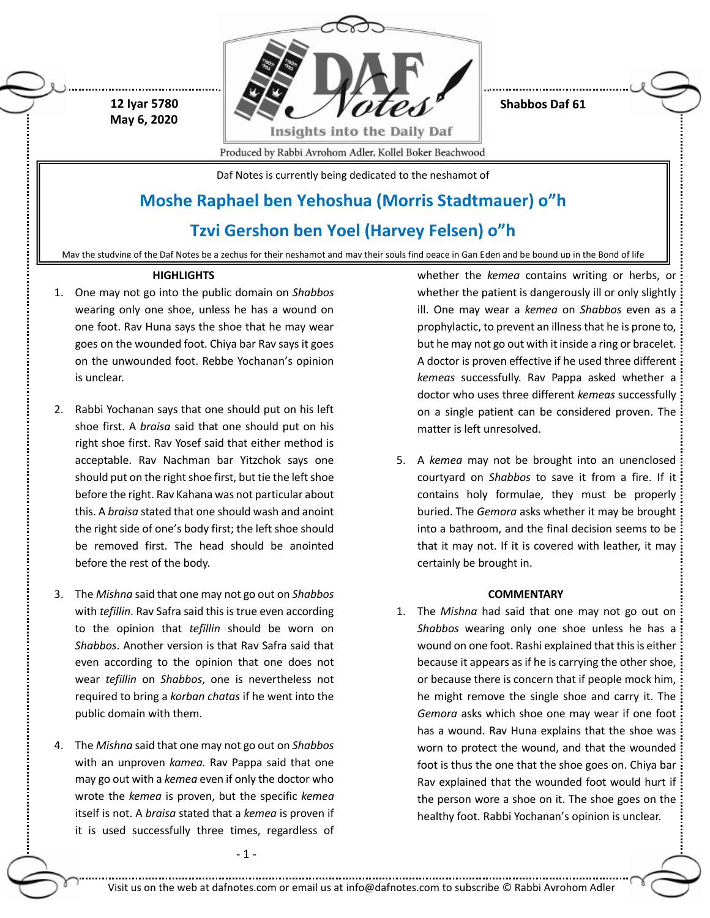

**Shabbos Daf 61**

Produced by Rabbi Avrohom Adler, Kollel Boker Beachwood

Daf Notes is currently being dedicated to the neshamot of

# **Moshe Raphael ben Yehoshua (Morris Stadtmauer) o"h**

## **Tzvi Gershon ben Yoel (Harvey Felsen) o"h**

May the studying of the Daf Notes be a zechus for their neshamot and may their souls find peace in Gan Eden and be bound up in the Bond of life

## **HIGHLIGHTS**

 **12 Iyar 5780 May 6, 2020**

- 1. One may not go into the public domain on *Shabbos* wearing only one shoe, unless he has a wound on one foot. Rav Huna says the shoe that he may wear goes on the wounded foot. Chiya bar Rav says it goes on the unwounded foot. Rebbe Yochanan's opinion is unclear.
- 2. Rabbi Yochanan says that one should put on his left shoe first. A *braisa* said that one should put on his right shoe first. Rav Yosef said that either method is acceptable. Rav Nachman bar Yitzchok says one should put on the right shoe first, but tie the left shoe before the right. Rav Kahana was not particular about this. A *braisa* stated that one should wash and anoint the right side of one's body first; the left shoe should be removed first. The head should be anointed before the rest of the body.
- 3. The *Mishna* said that one may not go out on *Shabbos* with *tefillin*. Rav Safra said this is true even according to the opinion that *tefillin* should be worn on *Shabbos*. Another version is that Rav Safra said that even according to the opinion that one does not wear *tefillin* on *Shabbos*, one is nevertheless not required to bring a *korban chatas* if he went into the public domain with them.
- 4. The *Mishna* said that one may not go out on *Shabbos* with an unproven *kamea.* Rav Pappa said that one may go out with a *kemea* even if only the doctor who wrote the *kemea* is proven, but the specific *kemea*  itself is not. A *braisa* stated that a *kemea* is proven if it is used successfully three times, regardless of

- 1 -

whether the *kemea* contains writing or herbs, or whether the patient is dangerously ill or only slightly ill. One may wear a *kemea* on *Shabbos* even as a prophylactic, to prevent an illness that he is prone to, but he may not go out with it inside a ring or bracelet. A doctor is proven effective if he used three different *kemeas* successfully. Rav Pappa asked whether a doctor who uses three different *kemeas* successfully on a single patient can be considered proven. The matter is left unresolved.

5. A *kemea* may not be brought into an unenclosed courtyard on *Shabbos* to save it from a fire. If it contains holy formulae, they must be properly buried. The *Gemora* asks whether it may be brought into a bathroom, and the final decision seems to be that it may not. If it is covered with leather, it may certainly be brought in.

## **COMMENTARY**

1. The *Mishna* had said that one may not go out on *Shabbos* wearing only one shoe unless he has a wound on one foot. Rashi explained that this is either because it appears as if he is carrying the other shoe, or because there is concern that if people mock him, he might remove the single shoe and carry it. The *Gemora* asks which shoe one may wear if one foot has a wound. Rav Huna explains that the shoe was worn to protect the wound, and that the wounded foot is thus the one that the shoe goes on. Chiya bar Rav explained that the wounded foot would hurt if the person wore a shoe on it. The shoe goes on the healthy foot. Rabbi Yochanan's opinion is unclear.

Visit us on the web at dafnotes.com or email us a[t info@dafnotes.com](mailto:info@dafnotes.com) to subscribe © Rabbi Avrohom Adler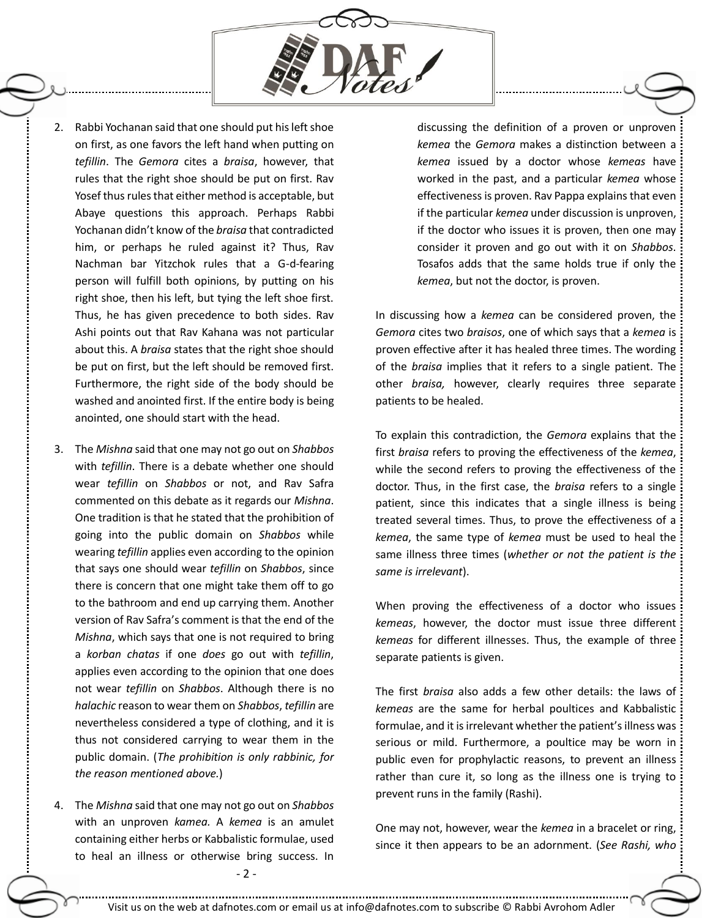

- 2. Rabbi Yochanan said that one should put his left shoe on first, as one favors the left hand when putting on *tefillin*. The *Gemora* cites a *braisa*, however, that rules that the right shoe should be put on first. Rav Yosef thus rules that either method is acceptable, but Abaye questions this approach. Perhaps Rabbi Yochanan didn't know of the *braisa* that contradicted him, or perhaps he ruled against it? Thus, Rav Nachman bar Yitzchok rules that a G-d-fearing person will fulfill both opinions, by putting on his right shoe, then his left, but tying the left shoe first. Thus, he has given precedence to both sides. Rav Ashi points out that Rav Kahana was not particular about this. A *braisa* states that the right shoe should be put on first, but the left should be removed first. Furthermore, the right side of the body should be washed and anointed first. If the entire body is being anointed, one should start with the head.
- 3. The *Mishna* said that one may not go out on *Shabbos* with *tefillin*. There is a debate whether one should wear *tefillin* on *Shabbos* or not, and Rav Safra commented on this debate as it regards our *Mishna*. One tradition is that he stated that the prohibition of going into the public domain on *Shabbos* while wearing *tefillin* applies even according to the opinion that says one should wear *tefillin* on *Shabbos*, since there is concern that one might take them off to go to the bathroom and end up carrying them. Another version of Rav Safra's comment is that the end of the *Mishna*, which says that one is not required to bring a *korban chatas* if one *does* go out with *tefillin*, applies even according to the opinion that one does not wear *tefillin* on *Shabbos*. Although there is no *halachic* reason to wear them on *Shabbos*, *tefillin* are nevertheless considered a type of clothing, and it is thus not considered carrying to wear them in the public domain. (*The prohibition is only rabbinic, for the reason mentioned above.*)
- 4. The *Mishna* said that one may not go out on *Shabbos* with an unproven *kamea.* A *kemea* is an amulet containing either herbs or Kabbalistic formulae, used to heal an illness or otherwise bring success. In

discussing the definition of a proven or unproven *kemea* the *Gemora* makes a distinction between a *kemea* issued by a doctor whose *kemeas* have worked in the past, and a particular *kemea* whose effectiveness is proven. Rav Pappa explains that even if the particular *kemea* under discussion is unproven, if the doctor who issues it is proven, then one may consider it proven and go out with it on *Shabbos*. Tosafos adds that the same holds true if only the *kemea*, but not the doctor, is proven.

In discussing how a *kemea* can be considered proven, the *Gemora* cites two *braisos*, one of which says that a *kemea* is proven effective after it has healed three times. The wording of the *braisa* implies that it refers to a single patient. The other *braisa,* however, clearly requires three separate patients to be healed.

To explain this contradiction, the *Gemora* explains that the first *braisa* refers to proving the effectiveness of the *kemea*, while the second refers to proving the effectiveness of the doctor. Thus, in the first case, the *braisa* refers to a single patient, since this indicates that a single illness is being treated several times. Thus, to prove the effectiveness of a *kemea*, the same type of *kemea* must be used to heal the same illness three times (*whether or not the patient is the same is irrelevant*).

When proving the effectiveness of a doctor who issues *kemeas*, however, the doctor must issue three different *kemeas* for different illnesses. Thus, the example of three separate patients is given.

The first *braisa* also adds a few other details: the laws of *kemeas* are the same for herbal poultices and Kabbalistic formulae, and it is irrelevant whether the patient's illness was serious or mild. Furthermore, a poultice may be worn in public even for prophylactic reasons, to prevent an illness rather than cure it, so long as the illness one is trying to prevent runs in the family (Rashi).

One may not, however, wear the *kemea* in a bracelet or ring, since it then appears to be an adornment. (*See Rashi, who*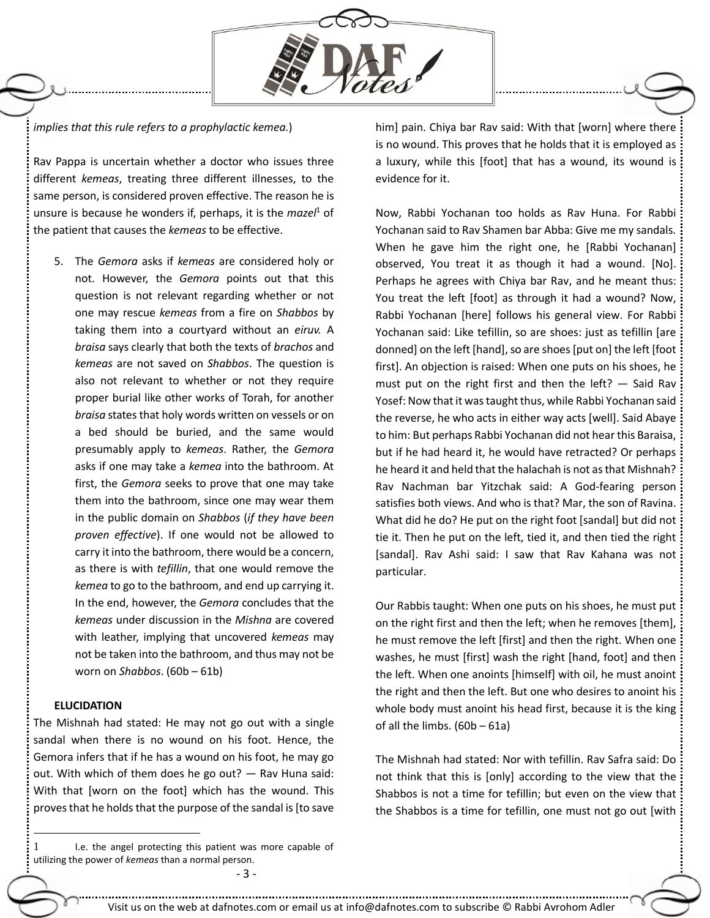

## *implies that this rule refers to a prophylactic kemea.*)

Rav Pappa is uncertain whether a doctor who issues three different *kemeas*, treating three different illnesses, to the same person, is considered proven effective. The reason he is unsure is because he wonders if, perhaps, it is the *mazel*<sup>1</sup> of the patient that causes the *kemeas* to be effective.

5. The *Gemora* asks if *kemeas* are considered holy or not. However, the *Gemora* points out that this question is not relevant regarding whether or not one may rescue *kemeas* from a fire on *Shabbos* by taking them into a courtyard without an *eiruv.* A *braisa* says clearly that both the texts of *brachos* and *kemeas* are not saved on *Shabbos*. The question is also not relevant to whether or not they require proper burial like other works of Torah, for another *braisa* states that holy words written on vessels or on a bed should be buried, and the same would presumably apply to *kemeas*. Rather, the *Gemora* asks if one may take a *kemea* into the bathroom. At first, the *Gemora* seeks to prove that one may take them into the bathroom, since one may wear them in the public domain on *Shabbos* (*if they have been proven effective*). If one would not be allowed to carry it into the bathroom, there would be a concern, as there is with *tefillin*, that one would remove the *kemea* to go to the bathroom, and end up carrying it. In the end, however, the *Gemora* concludes that the *kemeas* under discussion in the *Mishna* are covered with leather, implying that uncovered *kemeas* may not be taken into the bathroom, and thus may not be worn on *Shabbos*. (60b – 61b)

## **ELUCIDATION**

 $\overline{a}$ 

The Mishnah had stated: He may not go out with a single sandal when there is no wound on his foot. Hence, the Gemora infers that if he has a wound on his foot, he may go out. With which of them does he go out? — Rav Huna said: With that [worn on the foot] which has the wound. This proves that he holds that the purpose of the sandal is [to save

1 I.e. the angel protecting this patient was more capable of utilizing the power of *kemeas* than a normal person.

- 3 -

him] pain. Chiya bar Rav said: With that [worn] where there is no wound. This proves that he holds that it is employed as a luxury, while this [foot] that has a wound, its wound is evidence for it.

Now, Rabbi Yochanan too holds as Rav Huna. For Rabbi Yochanan said to Rav Shamen bar Abba: Give me my sandals. When he gave him the right one, he [Rabbi Yochanan] observed, You treat it as though it had a wound. [No]. Perhaps he agrees with Chiya bar Rav, and he meant thus: You treat the left [foot] as through it had a wound? Now, Rabbi Yochanan [here] follows his general view. For Rabbi Yochanan said: Like tefillin, so are shoes: just as tefillin [are donned] on the left [hand], so are shoes [put on] the left [foot first]. An objection is raised: When one puts on his shoes, he must put on the right first and then the left?  $-$  Said Rav Yosef: Now that it was taught thus, while Rabbi Yochanan said the reverse, he who acts in either way acts [well]. Said Abaye to him: But perhaps Rabbi Yochanan did not hear this Baraisa, but if he had heard it, he would have retracted? Or perhaps he heard it and held that the halachah is not as that Mishnah? Rav Nachman bar Yitzchak said: A God-fearing person satisfies both views. And who is that? Mar, the son of Ravina. What did he do? He put on the right foot [sandal] but did not tie it. Then he put on the left, tied it, and then tied the right [sandal]. Rav Ashi said: I saw that Rav Kahana was not particular.

Our Rabbis taught: When one puts on his shoes, he must put on the right first and then the left; when he removes [them], he must remove the left [first] and then the right. When one washes, he must [first] wash the right [hand, foot] and then the left. When one anoints [himself] with oil, he must anoint the right and then the left. But one who desires to anoint his whole body must anoint his head first, because it is the king of all the limbs. (60b – 61a)

The Mishnah had stated: Nor with tefillin. Rav Safra said: Do not think that this is [only] according to the view that the Shabbos is not a time for tefillin; but even on the view that the Shabbos is a time for tefillin, one must not go out [with

Visit us on the web at dafnotes.com or email us a[t info@dafnotes.com](mailto:info@dafnotes.com) to subscribe © Rabbi Avrohom Adler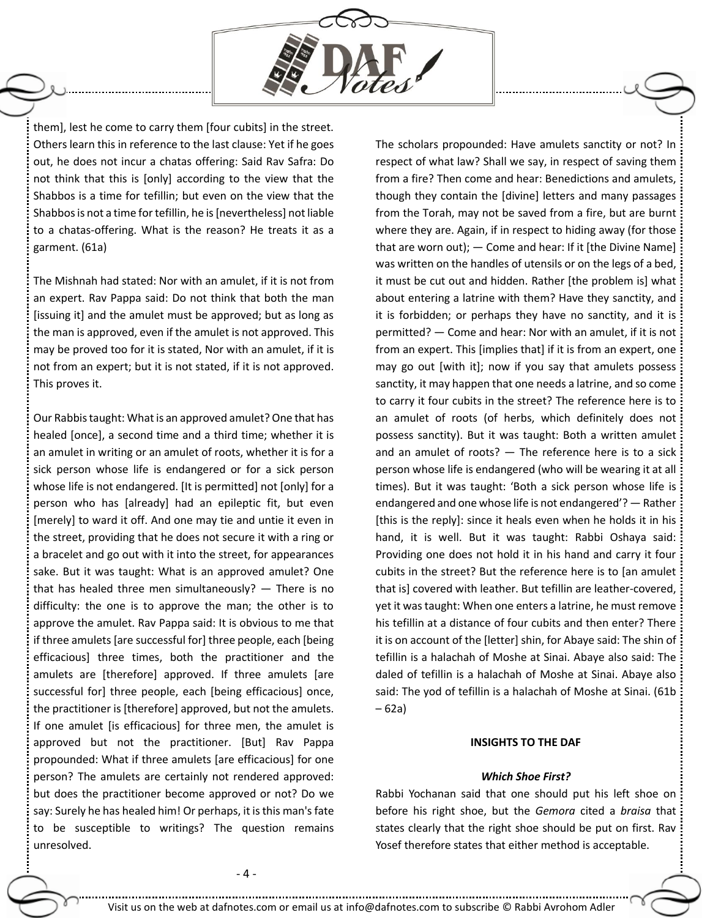

them], lest he come to carry them [four cubits] in the street. Others learn this in reference to the last clause: Yet if he goes out, he does not incur a chatas offering: Said Rav Safra: Do not think that this is [only] according to the view that the Shabbos is a time for tefillin; but even on the view that the Shabbos is not a time for tefillin, he is [nevertheless] not liable to a chatas-offering. What is the reason? He treats it as a garment. (61a)

The Mishnah had stated: Nor with an amulet, if it is not from an expert. Rav Pappa said: Do not think that both the man [issuing it] and the amulet must be approved; but as long as the man is approved, even if the amulet is not approved. This may be proved too for it is stated, Nor with an amulet, if it is not from an expert; but it is not stated, if it is not approved. This proves it.

Our Rabbis taught: What is an approved amulet? One that has healed [once], a second time and a third time; whether it is an amulet in writing or an amulet of roots, whether it is for a sick person whose life is endangered or for a sick person whose life is not endangered. [It is permitted] not [only] for a person who has [already] had an epileptic fit, but even [merely] to ward it off. And one may tie and untie it even in the street, providing that he does not secure it with a ring or a bracelet and go out with it into the street, for appearances sake. But it was taught: What is an approved amulet? One that has healed three men simultaneously?  $-$  There is no difficulty: the one is to approve the man; the other is to approve the amulet. Rav Pappa said: It is obvious to me that if three amulets [are successful for] three people, each [being] efficacious] three times, both the practitioner and the amulets are [therefore] approved. If three amulets [are successful for] three people, each [being efficacious] once, the practitioner is [therefore] approved, but not the amulets. If one amulet [is efficacious] for three men, the amulet is approved but not the practitioner. [But] Rav Pappa propounded: What if three amulets [are efficacious] for one person? The amulets are certainly not rendered approved: but does the practitioner become approved or not? Do we say: Surely he has healed him! Or perhaps, it is this man's fate to be susceptible to writings? The question remains unresolved.

The scholars propounded: Have amulets sanctity or not? In respect of what law? Shall we say, in respect of saving them from a fire? Then come and hear: Benedictions and amulets, though they contain the [divine] letters and many passages from the Torah, may not be saved from a fire, but are burnt where they are. Again, if in respect to hiding away (for those that are worn out); — Come and hear: If it [the Divine Name] was written on the handles of utensils or on the legs of a bed, it must be cut out and hidden. Rather [the problem is] what about entering a latrine with them? Have they sanctity, and it is forbidden; or perhaps they have no sanctity, and it is permitted? — Come and hear: Nor with an amulet, if it is not from an expert. This [implies that] if it is from an expert, one may go out [with it]; now if you say that amulets possess sanctity, it may happen that one needs a latrine, and so come to carry it four cubits in the street? The reference here is to an amulet of roots (of herbs, which definitely does not possess sanctity). But it was taught: Both a written amulet and an amulet of roots? — The reference here is to a sick person whose life is endangered (who will be wearing it at all times). But it was taught: 'Both a sick person whose life is endangered and one whose life is not endangered'? — Rather [this is the reply]: since it heals even when he holds it in his hand, it is well. But it was taught: Rabbi Oshaya said: Providing one does not hold it in his hand and carry it four cubits in the street? But the reference here is to [an amulet that is] covered with leather. But tefillin are leather-covered, yet it was taught: When one enters a latrine, he must remove his tefillin at a distance of four cubits and then enter? There it is on account of the [letter] shin, for Abaye said: The shin of tefillin is a halachah of Moshe at Sinai. Abaye also said: The daled of tefillin is a halachah of Moshe at Sinai. Abaye also said: The yod of tefillin is a halachah of Moshe at Sinai. (61b – 62a)

#### **INSIGHTS TO THE DAF**

#### *Which Shoe First?*

Rabbi Yochanan said that one should put his left shoe on before his right shoe, but the *Gemora* cited a *braisa* that states clearly that the right shoe should be put on first. Rav Yosef therefore states that either method is acceptable.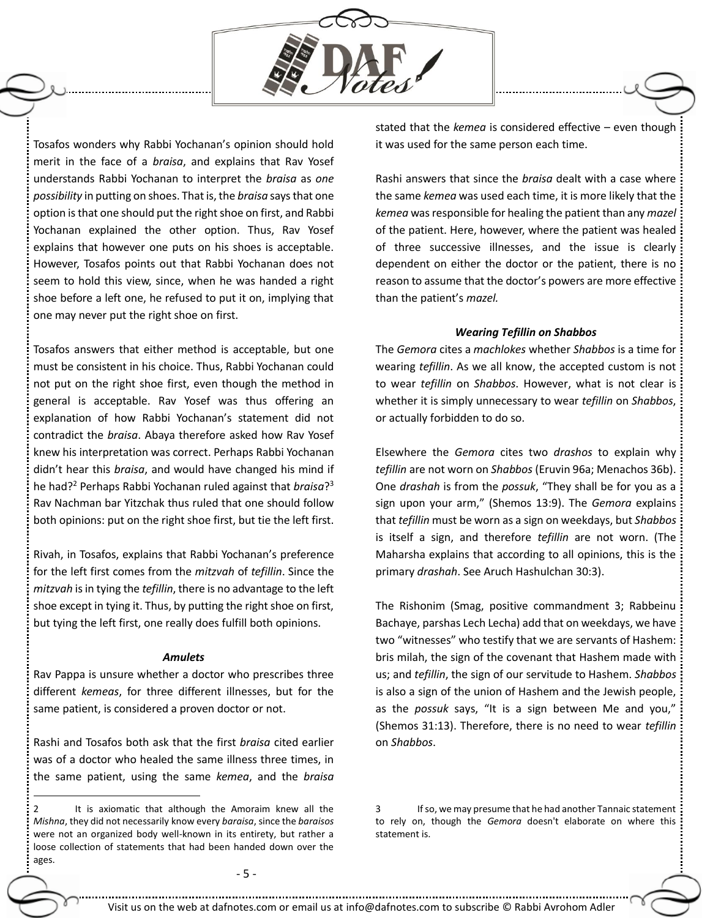

Tosafos wonders why Rabbi Yochanan's opinion should hold merit in the face of a *braisa*, and explains that Rav Yosef understands Rabbi Yochanan to interpret the *braisa* as *one possibility* in putting on shoes. That is, the *braisa* says that one option is that one should put the right shoe on first, and Rabbi Yochanan explained the other option. Thus, Rav Yosef explains that however one puts on his shoes is acceptable. However, Tosafos points out that Rabbi Yochanan does not seem to hold this view, since, when he was handed a right shoe before a left one, he refused to put it on, implying that one may never put the right shoe on first.

Tosafos answers that either method is acceptable, but one must be consistent in his choice. Thus, Rabbi Yochanan could not put on the right shoe first, even though the method in general is acceptable. Rav Yosef was thus offering an explanation of how Rabbi Yochanan's statement did not contradict the *braisa*. Abaya therefore asked how Rav Yosef knew his interpretation was correct. Perhaps Rabbi Yochanan didn't hear this *braisa*, and would have changed his mind if he had?<sup>2</sup> Perhaps Rabbi Yochanan ruled against that *braisa*? 3 Rav Nachman bar Yitzchak thus ruled that one should follow both opinions: put on the right shoe first, but tie the left first.

Rivah, in Tosafos, explains that Rabbi Yochanan's preference for the left first comes from the *mitzvah* of *tefillin*. Since the *mitzvah* is in tying the *tefillin*, there is no advantage to the left shoe except in tying it. Thus, by putting the right shoe on first, but tying the left first, one really does fulfill both opinions.

### *Amulets*

Rav Pappa is unsure whether a doctor who prescribes three different *kemeas*, for three different illnesses, but for the same patient, is considered a proven doctor or not.

Rashi and Tosafos both ask that the first *braisa* cited earlier was of a doctor who healed the same illness three times, in the same patient, using the same *kemea*, and the *braisa*

 $\overline{a}$ 

stated that the *kemea* is considered effective – even though it was used for the same person each time.

Rashi answers that since the *braisa* dealt with a case where the same *kemea* was used each time, it is more likely that the *kemea* was responsible for healing the patient than any *mazel* of the patient. Here, however, where the patient was healed of three successive illnesses, and the issue is clearly dependent on either the doctor or the patient, there is no reason to assume that the doctor's powers are more effective than the patient's *mazel.*

## *Wearing Tefillin on Shabbos*

The *Gemora* cites a *machlokes* whether *Shabbos* is a time for wearing *tefillin*. As we all know, the accepted custom is not to wear *tefillin* on *Shabbos*. However, what is not clear is whether it is simply unnecessary to wear *tefillin* on *Shabbos*, or actually forbidden to do so.

Elsewhere the *Gemora* cites two *drashos* to explain why *tefillin* are not worn on *Shabbos* (Eruvin 96a; Menachos 36b). One *drashah* is from the *possuk*, "They shall be for you as a sign upon your arm," (Shemos 13:9). The *Gemora* explains that *tefillin* must be worn as a sign on weekdays, but *Shabbos* is itself a sign, and therefore *tefillin* are not worn. (The Maharsha explains that according to all opinions, this is the primary *drashah*. See Aruch Hashulchan 30:3).

The Rishonim (Smag, positive commandment 3; Rabbeinu Bachaye, parshas Lech Lecha) add that on weekdays, we have two "witnesses" who testify that we are servants of Hashem: bris milah, the sign of the covenant that Hashem made with us; and *tefillin*, the sign of our servitude to Hashem. *Shabbos* is also a sign of the union of Hashem and the Jewish people, as the *possuk* says, "It is a sign between Me and you," (Shemos 31:13). Therefore, there is no need to wear *tefillin* on *Shabbos*.

<sup>2</sup> It is axiomatic that although the Amoraim knew all the *Mishna*, they did not necessarily know every *baraisa*, since the *baraisos*  were not an organized body well-known in its entirety, but rather a loose collection of statements that had been handed down over the ages.

<sup>3</sup> If so, we may presume that he had another Tannaic statement to rely on, though the *Gemora* doesn't elaborate on where this statement is.

<sup>-</sup> 5 -